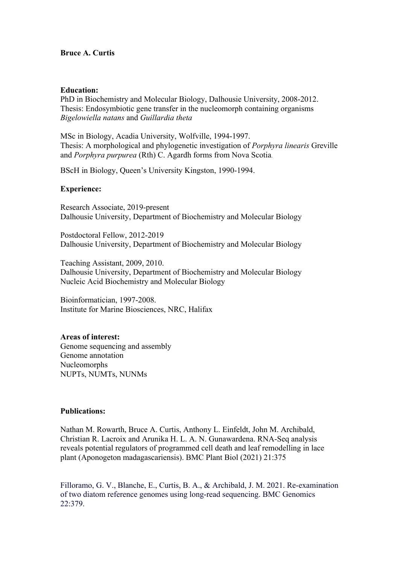## **Bruce A. Curtis**

### **Education:**

PhD in Biochemistry and Molecular Biology, Dalhousie University, 2008-2012. Thesis: Endosymbiotic gene transfer in the nucleomorph containing organisms *Bigelowiella natans* and *Guillardia theta*

MSc in Biology, Acadia University, Wolfville, 1994-1997. Thesis: A morphological and phylogenetic investigation of *Porphyra linearis* Greville and *Porphyra purpurea* (Rth) C. Agardh forms from Nova Scotia.

BScH in Biology, Queen's University Kingston, 1990-1994.

## **Experience:**

Research Associate, 2019-present Dalhousie University, Department of Biochemistry and Molecular Biology

Postdoctoral Fellow, 2012-2019 Dalhousie University, Department of Biochemistry and Molecular Biology

Teaching Assistant, 2009, 2010. Dalhousie University, Department of Biochemistry and Molecular Biology Nucleic Acid Biochemistry and Molecular Biology

Bioinformatician, 1997-2008. Institute for Marine Biosciences, NRC, Halifax

# **Areas of interest:**

Genome sequencing and assembly Genome annotation Nucleomorphs NUPTs, NUMTs, NUNMs

### **Publications:**

Nathan M. Rowarth, Bruce A. Curtis, Anthony L. Einfeldt, John M. Archibald, Christian R. Lacroix and Arunika H. L. A. N. Gunawardena. RNA-Seq analysis reveals potential regulators of programmed cell death and leaf remodelling in lace plant (Aponogeton madagascariensis). BMC Plant Biol (2021) 21:375

Filloramo, G. V., Blanche, E., Curtis, B. A., & Archibald, J. M. 2021. Re-examination of two diatom reference genomes using long-read sequencing. BMC Genomics 22:379.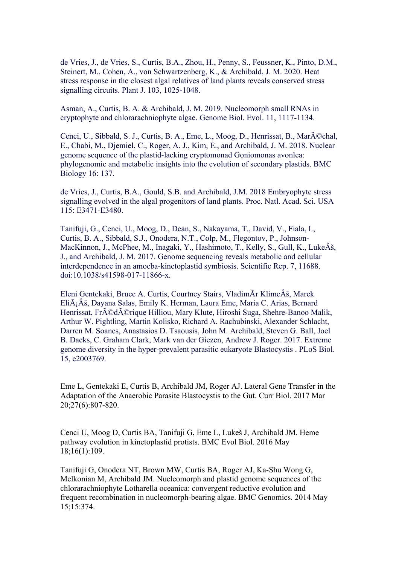de Vries, J., de Vries, S., Curtis, B.A., Zhou, H., Penny, S., Feussner, K., Pinto, D.M., Steinert, M., Cohen, A., von Schwartzenberg, K., & Archibald, J. M. 2020. Heat stress response in the closest algal relatives of land plants reveals conserved stress signalling circuits. Plant J. 103, 1025-1048.

Asman, A., Curtis, B. A. & Archibald, J. M. 2019. Nucleomorph small RNAs in cryptophyte and chlorarachniophyte algae. Genome Biol. Evol. 11, 1117-1134.

Cenci, U., Sibbald, S. J., Curtis, B. A., Eme, L., Moog, D., Henrissat, B., Mar $\tilde{A}$ ©chal, E., Chabi, M., Djemiel, C., Roger, A. J., Kim, E., and Archibald, J. M. 2018. Nuclear genome sequence of the plastid-lacking cryptomonad Goniomonas avonlea: phylogenomic and metabolic insights into the evolution of secondary plastids. BMC Biology 16: 137.

de Vries, J., Curtis, B.A., Gould, S.B. and Archibald, J.M. 2018 Embryophyte stress signalling evolved in the algal progenitors of land plants. Proc. Natl. Acad. Sci. USA 115: E3471-E3480.

Tanifuji, G., Cenci, U., Moog, D., Dean, S., Nakayama, T., David, V., Fiala, I., Curtis, B. A., Sibbald, S.J., Onodera, N.T., Colp, M., Flegontov, P., Johnson-MacKinnon, J., McPhee, M., Inagaki, Y., Hashimoto, T., Kelly, S., Gull, K., Lukeš, J., and Archibald, J. M. 2017. Genome sequencing reveals metabolic and cellular interdependence in an amoeba-kinetoplastid symbiosis. Scientific Rep. 7, 11688. doi:10.1038/s41598-017-11866-x.

Eleni Gentekaki, Bruce A. Curtis, Courtney Stairs, VladimÃr Klimeš, Marek Eliáš, Dayana Salas, Emily K. Herman, Laura Eme, Maria C. Arias, Bernard Henrissat, Fr $\tilde{A}$ ©d $\tilde{A}$ ©rique Hilliou, Mary Klute, Hiroshi Suga, Shehre-Banoo Malik, Arthur W. Pightling, Martin Kolisko, Richard A. Rachubinski, Alexander Schlacht, Darren M. Soanes, Anastasios D. Tsaousis, John M. Archibald, Steven G. Ball, Joel B. Dacks, C. Graham Clark, Mark van der Giezen, Andrew J. Roger. 2017. Extreme genome diversity in the hyper-prevalent parasitic eukaryote Blastocystis . PLoS Biol. 15, e2003769.

Eme L, Gentekaki E, Curtis B, Archibald JM, Roger AJ. Lateral Gene Transfer in the Adaptation of the Anaerobic Parasite Blastocystis to the Gut. Curr Biol. 2017 Mar 20;27(6):807-820.

Cenci U, Moog D, Curtis BA, Tanifuji G, Eme L, Lukeš J, Archibald JM. Heme pathway evolution in kinetoplastid protists. BMC Evol Biol. 2016 May 18;16(1):109.

Tanifuji G, Onodera NT, Brown MW, Curtis BA, Roger AJ, Ka-Shu Wong G, Melkonian M, Archibald JM. Nucleomorph and plastid genome sequences of the chlorarachniophyte Lotharella oceanica: convergent reductive evolution and frequent recombination in nucleomorph-bearing algae. BMC Genomics. 2014 May 15;15:374.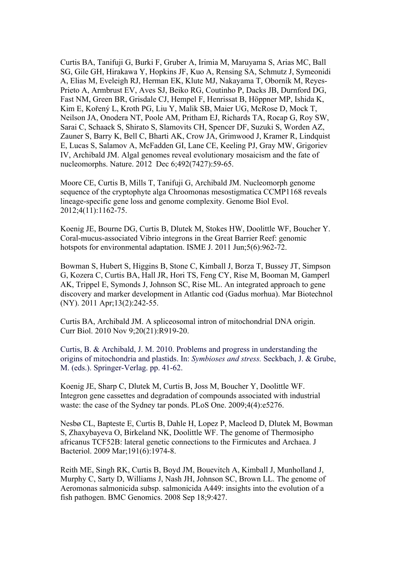Curtis BA, Tanifuji G, Burki F, Gruber A, Irimia M, Maruyama S, Arias MC, Ball SG, Gile GH, Hirakawa Y, Hopkins JF, Kuo A, Rensing SA, Schmutz J, Symeonidi A, Elias M, Eveleigh RJ, Herman EK, Klute MJ, Nakayama T, Oborník M, Reyes-Prieto A, Armbrust EV, Aves SJ, Beiko RG, Coutinho P, Dacks JB, Durnford DG, Fast NM, Green BR, Grisdale CJ, Hempel F, Henrissat B, Höppner MP, Ishida K, Kim E, Kořený L, Kroth PG, Liu Y, Malik SB, Maier UG, McRose D, Mock T, Neilson JA, Onodera NT, Poole AM, Pritham EJ, Richards TA, Rocap G, Roy SW, Sarai C, Schaack S, Shirato S, Slamovits CH, Spencer DF, Suzuki S, Worden AZ, Zauner S, Barry K, Bell C, Bharti AK, Crow JA, Grimwood J, Kramer R, Lindquist E, Lucas S, Salamov A, McFadden GI, Lane CE, Keeling PJ, Gray MW, Grigoriev IV, Archibald JM. Algal genomes reveal evolutionary mosaicism and the fate of nucleomorphs. Nature. 2012 Dec 6;492(7427):59-65.

Moore CE, Curtis B, Mills T, Tanifuji G, Archibald JM. Nucleomorph genome sequence of the cryptophyte alga Chroomonas mesostigmatica CCMP1168 reveals lineage-specific gene loss and genome complexity. Genome Biol Evol. 2012;4(11):1162-75.

Koenig JE, Bourne DG, Curtis B, Dlutek M, Stokes HW, Doolittle WF, Boucher Y. Coral-mucus-associated Vibrio integrons in the Great Barrier Reef: genomic hotspots for environmental adaptation. ISME J. 2011 Jun;5(6):962-72.

Bowman S, Hubert S, Higgins B, Stone C, Kimball J, Borza T, Bussey JT, Simpson G, Kozera C, Curtis BA, Hall JR, Hori TS, Feng CY, Rise M, Booman M, Gamperl AK, Trippel E, Symonds J, Johnson SC, Rise ML. An integrated approach to gene discovery and marker development in Atlantic cod (Gadus morhua). Mar Biotechnol (NY). 2011 Apr;13(2):242-55.

Curtis BA, Archibald JM. A spliceosomal intron of mitochondrial DNA origin. Curr Biol. 2010 Nov 9;20(21):R919-20.

Curtis, B. & Archibald, J. M. 2010. Problems and progress in understanding the origins of mitochondria and plastids. In: *Symbioses and stress.* Seckbach, J. & Grube, M. (eds.). Springer-Verlag. pp. 41-62.

Koenig JE, Sharp C, Dlutek M, Curtis B, Joss M, Boucher Y, Doolittle WF. Integron gene cassettes and degradation of compounds associated with industrial waste: the case of the Sydney tar ponds. PLoS One. 2009;4(4):e5276.

Nesbø CL, Bapteste E, Curtis B, Dahle H, Lopez P, Macleod D, Dlutek M, Bowman S, Zhaxybayeva O, Birkeland NK, Doolittle WF. The genome of Thermosipho africanus TCF52B: lateral genetic connections to the Firmicutes and Archaea. J Bacteriol. 2009 Mar;191(6):1974-8.

Reith ME, Singh RK, Curtis B, Boyd JM, Bouevitch A, Kimball J, Munholland J, Murphy C, Sarty D, Williams J, Nash JH, Johnson SC, Brown LL. The genome of Aeromonas salmonicida subsp. salmonicida A449: insights into the evolution of a fish pathogen. BMC Genomics. 2008 Sep 18;9:427.